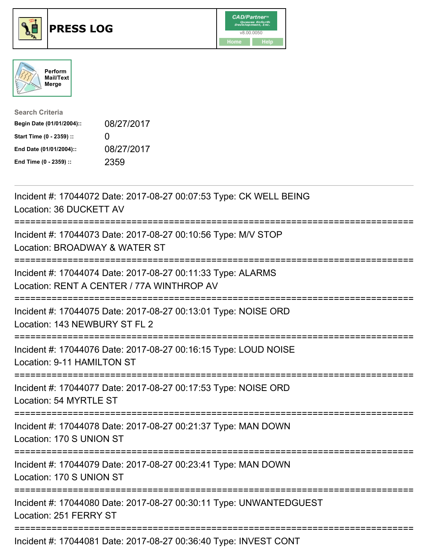





| <b>Search Criteria</b>    |            |
|---------------------------|------------|
| Begin Date (01/01/2004):: | 08/27/2017 |
| Start Time (0 - 2359) ::  | $\Omega$   |
| End Date (01/01/2004)::   | 08/27/2017 |
| End Time (0 - 2359) ::    | 2359       |

| Incident #: 17044072 Date: 2017-08-27 00:07:53 Type: CK WELL BEING<br>Location: 36 DUCKETT AV                                   |
|---------------------------------------------------------------------------------------------------------------------------------|
| Incident #: 17044073 Date: 2017-08-27 00:10:56 Type: M/V STOP<br>Location: BROADWAY & WATER ST                                  |
| Incident #: 17044074 Date: 2017-08-27 00:11:33 Type: ALARMS<br>Location: RENT A CENTER / 77A WINTHROP AV<br>=================== |
| Incident #: 17044075 Date: 2017-08-27 00:13:01 Type: NOISE ORD<br>Location: 143 NEWBURY ST FL 2                                 |
| Incident #: 17044076 Date: 2017-08-27 00:16:15 Type: LOUD NOISE<br>Location: 9-11 HAMILTON ST                                   |
| Incident #: 17044077 Date: 2017-08-27 00:17:53 Type: NOISE ORD<br>Location: 54 MYRTLE ST<br>----------------------------------- |
| Incident #: 17044078 Date: 2017-08-27 00:21:37 Type: MAN DOWN<br>Location: 170 S UNION ST                                       |
| Incident #: 17044079 Date: 2017-08-27 00:23:41 Type: MAN DOWN<br>Location: 170 S UNION ST                                       |
| Incident #: 17044080 Date: 2017-08-27 00:30:11 Type: UNWANTEDGUEST<br>Location: 251 FERRY ST                                    |
| Incident #: 17044081 Date: 2017-08-27 00:36:40 Type: INVEST CONT                                                                |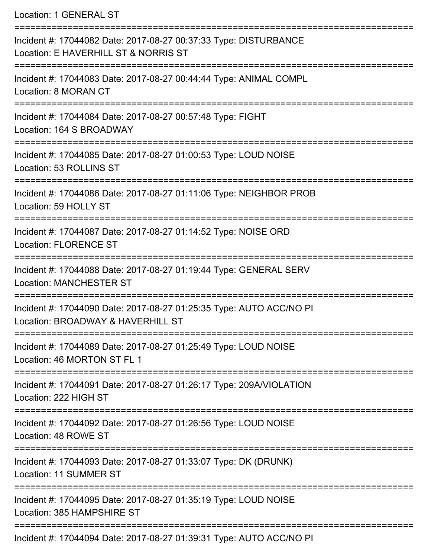Location: 1 GENERAL ST

| Incident #: 17044082 Date: 2017-08-27 00:37:33 Type: DISTURBANCE<br>Location: E HAVERHILL ST & NORRIS ST |
|----------------------------------------------------------------------------------------------------------|
| Incident #: 17044083 Date: 2017-08-27 00:44:44 Type: ANIMAL COMPL<br>Location: 8 MORAN CT                |
| Incident #: 17044084 Date: 2017-08-27 00:57:48 Type: FIGHT<br>Location: 164 S BROADWAY                   |
| Incident #: 17044085 Date: 2017-08-27 01:00:53 Type: LOUD NOISE<br>Location: 53 ROLLINS ST               |
| Incident #: 17044086 Date: 2017-08-27 01:11:06 Type: NEIGHBOR PROB<br>Location: 59 HOLLY ST              |
| Incident #: 17044087 Date: 2017-08-27 01:14:52 Type: NOISE ORD<br><b>Location: FLORENCE ST</b>           |
| Incident #: 17044088 Date: 2017-08-27 01:19:44 Type: GENERAL SERV<br><b>Location: MANCHESTER ST</b>      |
| Incident #: 17044090 Date: 2017-08-27 01:25:35 Type: AUTO ACC/NO PI<br>Location: BROADWAY & HAVERHILL ST |
| Incident #: 17044089 Date: 2017-08-27 01:25:49 Type: LOUD NOISE<br>Location: 46 MORTON ST FL 1           |
| Incident #: 17044091 Date: 2017-08-27 01:26:17 Type: 209A/VIOLATION<br>Location: 222 HIGH ST             |
| Incident #: 17044092 Date: 2017-08-27 01:26:56 Type: LOUD NOISE<br>Location: 48 ROWE ST                  |
| Incident #: 17044093 Date: 2017-08-27 01:33:07 Type: DK (DRUNK)<br>Location: 11 SUMMER ST                |
| Incident #: 17044095 Date: 2017-08-27 01:35:19 Type: LOUD NOISE<br>Location: 385 HAMPSHIRE ST            |
| Incident #: 17044094 Date: 2017-08-27 01:39:31 Type: AUTO ACC/NO PI                                      |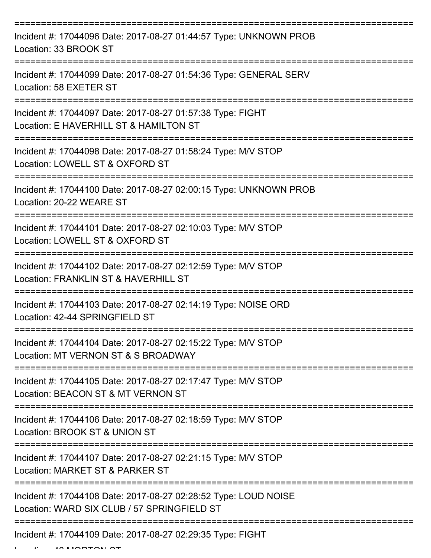| Incident #: 17044096 Date: 2017-08-27 01:44:57 Type: UNKNOWN PROB<br>Location: 33 BROOK ST                     |
|----------------------------------------------------------------------------------------------------------------|
| Incident #: 17044099 Date: 2017-08-27 01:54:36 Type: GENERAL SERV<br>Location: 58 EXETER ST                    |
| Incident #: 17044097 Date: 2017-08-27 01:57:38 Type: FIGHT<br>Location: E HAVERHILL ST & HAMILTON ST           |
| Incident #: 17044098 Date: 2017-08-27 01:58:24 Type: M/V STOP<br>Location: LOWELL ST & OXFORD ST               |
| Incident #: 17044100 Date: 2017-08-27 02:00:15 Type: UNKNOWN PROB<br>Location: 20-22 WEARE ST                  |
| Incident #: 17044101 Date: 2017-08-27 02:10:03 Type: M/V STOP<br>Location: LOWELL ST & OXFORD ST               |
| Incident #: 17044102 Date: 2017-08-27 02:12:59 Type: M/V STOP<br>Location: FRANKLIN ST & HAVERHILL ST          |
| Incident #: 17044103 Date: 2017-08-27 02:14:19 Type: NOISE ORD<br>Location: 42-44 SPRINGFIELD ST               |
| Incident #: 17044104 Date: 2017-08-27 02:15:22 Type: M/V STOP<br>Location: MT VERNON ST & S BROADWAY           |
| Incident #: 17044105 Date: 2017-08-27 02:17:47 Type: M/V STOP<br>Location: BEACON ST & MT VERNON ST            |
| Incident #: 17044106 Date: 2017-08-27 02:18:59 Type: M/V STOP<br>Location: BROOK ST & UNION ST                 |
| Incident #: 17044107 Date: 2017-08-27 02:21:15 Type: M/V STOP<br>Location: MARKET ST & PARKER ST               |
| Incident #: 17044108 Date: 2017-08-27 02:28:52 Type: LOUD NOISE<br>Location: WARD SIX CLUB / 57 SPRINGFIELD ST |
| Incident #: 17044109 Date: 2017-08-27 02:29:35 Type: FIGHT                                                     |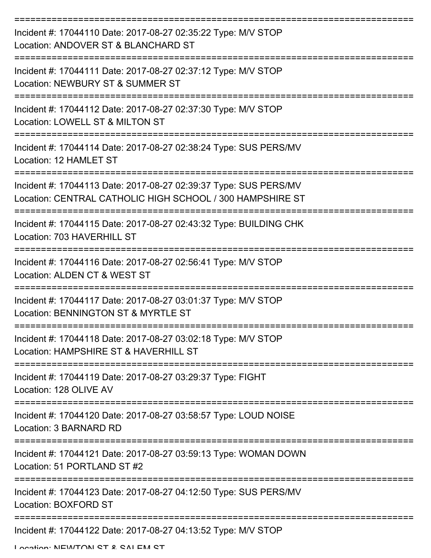| Incident #: 17044110 Date: 2017-08-27 02:35:22 Type: M/V STOP<br>Location: ANDOVER ST & BLANCHARD ST                          |
|-------------------------------------------------------------------------------------------------------------------------------|
| Incident #: 17044111 Date: 2017-08-27 02:37:12 Type: M/V STOP<br>Location: NEWBURY ST & SUMMER ST                             |
| Incident #: 17044112 Date: 2017-08-27 02:37:30 Type: M/V STOP<br>Location: LOWELL ST & MILTON ST                              |
| Incident #: 17044114 Date: 2017-08-27 02:38:24 Type: SUS PERS/MV<br>Location: 12 HAMLET ST                                    |
| Incident #: 17044113 Date: 2017-08-27 02:39:37 Type: SUS PERS/MV<br>Location: CENTRAL CATHOLIC HIGH SCHOOL / 300 HAMPSHIRE ST |
| Incident #: 17044115 Date: 2017-08-27 02:43:32 Type: BUILDING CHK<br>Location: 703 HAVERHILL ST                               |
| Incident #: 17044116 Date: 2017-08-27 02:56:41 Type: M/V STOP<br>Location: ALDEN CT & WEST ST                                 |
| Incident #: 17044117 Date: 2017-08-27 03:01:37 Type: M/V STOP<br>Location: BENNINGTON ST & MYRTLE ST                          |
| Incident #: 17044118 Date: 2017-08-27 03:02:18 Type: M/V STOP<br>Location: HAMPSHIRE ST & HAVERHILL ST                        |
| Incident #: 17044119 Date: 2017-08-27 03:29:37 Type: FIGHT<br>Location: 128 OLIVE AV                                          |
| Incident #: 17044120 Date: 2017-08-27 03:58:57 Type: LOUD NOISE<br>Location: 3 BARNARD RD                                     |
| Incident #: 17044121 Date: 2017-08-27 03:59:13 Type: WOMAN DOWN<br>Location: 51 PORTLAND ST #2                                |
| Incident #: 17044123 Date: 2017-08-27 04:12:50 Type: SUS PERS/MV<br>Location: BOXFORD ST                                      |
| Incident #: 17044122 Date: 2017-08-27 04:13:52 Type: M/V STOP                                                                 |

Location: MEWITON ST & SALEM ST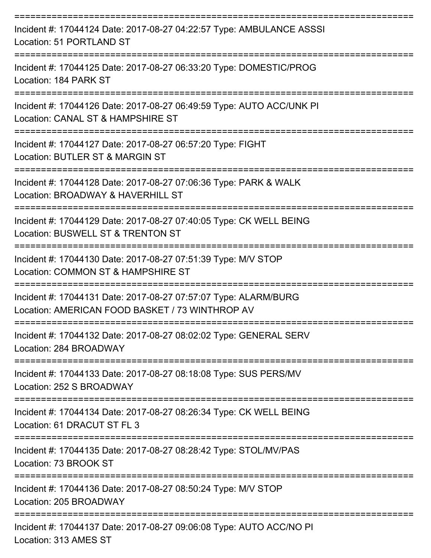| Incident #: 17044124 Date: 2017-08-27 04:22:57 Type: AMBULANCE ASSSI<br>Location: 51 PORTLAND ST                                  |
|-----------------------------------------------------------------------------------------------------------------------------------|
| Incident #: 17044125 Date: 2017-08-27 06:33:20 Type: DOMESTIC/PROG<br>Location: 184 PARK ST                                       |
| Incident #: 17044126 Date: 2017-08-27 06:49:59 Type: AUTO ACC/UNK PI<br>Location: CANAL ST & HAMPSHIRE ST<br>==================== |
| Incident #: 17044127 Date: 2017-08-27 06:57:20 Type: FIGHT<br>Location: BUTLER ST & MARGIN ST                                     |
| Incident #: 17044128 Date: 2017-08-27 07:06:36 Type: PARK & WALK<br>Location: BROADWAY & HAVERHILL ST                             |
| Incident #: 17044129 Date: 2017-08-27 07:40:05 Type: CK WELL BEING<br>Location: BUSWELL ST & TRENTON ST                           |
| Incident #: 17044130 Date: 2017-08-27 07:51:39 Type: M/V STOP<br>Location: COMMON ST & HAMPSHIRE ST                               |
| Incident #: 17044131 Date: 2017-08-27 07:57:07 Type: ALARM/BURG<br>Location: AMERICAN FOOD BASKET / 73 WINTHROP AV                |
| Incident #: 17044132 Date: 2017-08-27 08:02:02 Type: GENERAL SERV<br>Location: 284 BROADWAY                                       |
| Incident #: 17044133 Date: 2017-08-27 08:18:08 Type: SUS PERS/MV<br>Location: 252 S BROADWAY                                      |
| Incident #: 17044134 Date: 2017-08-27 08:26:34 Type: CK WELL BEING<br>Location: 61 DRACUT ST FL 3                                 |
| Incident #: 17044135 Date: 2017-08-27 08:28:42 Type: STOL/MV/PAS<br>Location: 73 BROOK ST                                         |
| Incident #: 17044136 Date: 2017-08-27 08:50:24 Type: M/V STOP<br>Location: 205 BROADWAY                                           |
| Incident #: 17044137 Date: 2017-08-27 09:06:08 Type: AUTO ACC/NO PI<br>Location: 313 AMES ST                                      |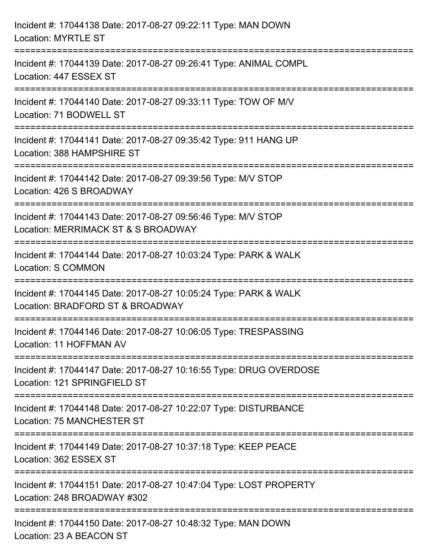| Incident #: 17044138 Date: 2017-08-27 09:22:11 Type: MAN DOWN<br><b>Location: MYRTLE ST</b>                                                                     |
|-----------------------------------------------------------------------------------------------------------------------------------------------------------------|
| Incident #: 17044139 Date: 2017-08-27 09:26:41 Type: ANIMAL COMPL<br>Location: 447 ESSEX ST                                                                     |
| Incident #: 17044140 Date: 2017-08-27 09:33:11 Type: TOW OF M/V<br>Location: 71 BODWELL ST                                                                      |
| Incident #: 17044141 Date: 2017-08-27 09:35:42 Type: 911 HANG UP<br>Location: 388 HAMPSHIRE ST                                                                  |
| Incident #: 17044142 Date: 2017-08-27 09:39:56 Type: M/V STOP<br>Location: 426 S BROADWAY                                                                       |
| Incident #: 17044143 Date: 2017-08-27 09:56:46 Type: M/V STOP<br>Location: MERRIMACK ST & S BROADWAY                                                            |
| =============================<br>====================================<br>Incident #: 17044144 Date: 2017-08-27 10:03:24 Type: PARK & WALK<br>Location: S COMMON |
| Incident #: 17044145 Date: 2017-08-27 10:05:24 Type: PARK & WALK<br>Location: BRADFORD ST & BROADWAY                                                            |
| Incident #: 17044146 Date: 2017-08-27 10:06:05 Type: TRESPASSING<br>Location: 11 HOFFMAN AV                                                                     |
| Incident #: 17044147 Date: 2017-08-27 10:16:55 Type: DRUG OVERDOSE<br>Location: 121 SPRINGFIELD ST                                                              |
| Incident #: 17044148 Date: 2017-08-27 10:22:07 Type: DISTURBANCE<br><b>Location: 75 MANCHESTER ST</b>                                                           |
| ===========================<br>Incident #: 17044149 Date: 2017-08-27 10:37:18 Type: KEEP PEACE<br>Location: 362 ESSEX ST                                        |
| Incident #: 17044151 Date: 2017-08-27 10:47:04 Type: LOST PROPERTY<br>Location: 248 BROADWAY #302                                                               |
| Incident #: 17044150 Date: 2017-08-27 10:48:32 Type: MAN DOWN<br>Location: 23 A BEACON ST                                                                       |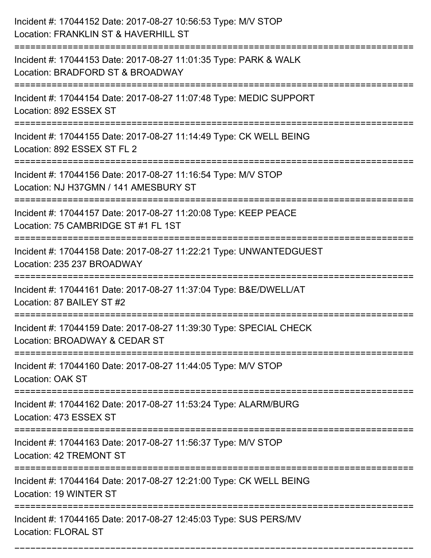| Incident #: 17044152 Date: 2017-08-27 10:56:53 Type: M/V STOP<br>Location: FRANKLIN ST & HAVERHILL ST                            |
|----------------------------------------------------------------------------------------------------------------------------------|
| ======================<br>Incident #: 17044153 Date: 2017-08-27 11:01:35 Type: PARK & WALK<br>Location: BRADFORD ST & BROADWAY   |
| Incident #: 17044154 Date: 2017-08-27 11:07:48 Type: MEDIC SUPPORT<br>Location: 892 ESSEX ST                                     |
| Incident #: 17044155 Date: 2017-08-27 11:14:49 Type: CK WELL BEING<br>Location: 892 ESSEX ST FL 2                                |
| Incident #: 17044156 Date: 2017-08-27 11:16:54 Type: M/V STOP<br>Location: NJ H37GMN / 141 AMESBURY ST                           |
| Incident #: 17044157 Date: 2017-08-27 11:20:08 Type: KEEP PEACE<br>Location: 75 CAMBRIDGE ST #1 FL 1ST                           |
| Incident #: 17044158 Date: 2017-08-27 11:22:21 Type: UNWANTEDGUEST<br>Location: 235 237 BROADWAY                                 |
| Incident #: 17044161 Date: 2017-08-27 11:37:04 Type: B&E/DWELL/AT<br>Location: 87 BAILEY ST #2                                   |
| Incident #: 17044159 Date: 2017-08-27 11:39:30 Type: SPECIAL CHECK<br>Location: BROADWAY & CEDAR ST                              |
| Incident #: 17044160 Date: 2017-08-27 11:44:05 Type: M/V STOP<br><b>Location: OAK ST</b>                                         |
| ===================================<br>Incident #: 17044162 Date: 2017-08-27 11:53:24 Type: ALARM/BURG<br>Location: 473 ESSEX ST |
| Incident #: 17044163 Date: 2017-08-27 11:56:37 Type: M/V STOP<br>Location: 42 TREMONT ST                                         |
| Incident #: 17044164 Date: 2017-08-27 12:21:00 Type: CK WELL BEING<br>Location: 19 WINTER ST                                     |
| Incident #: 17044165 Date: 2017-08-27 12:45:03 Type: SUS PERS/MV<br><b>Location: FLORAL ST</b>                                   |

===========================================================================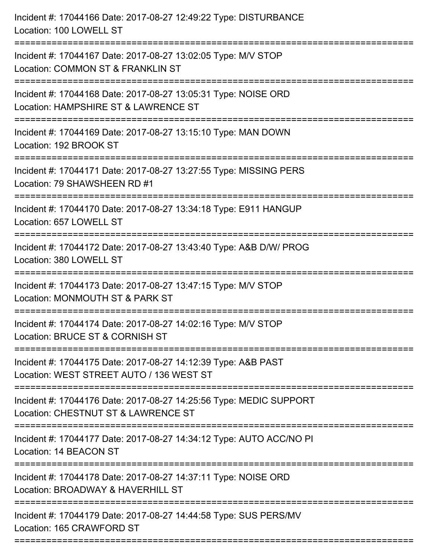| ================================<br>:=========================<br>;==============================<br>====================================<br>-------------------------- | Incident #: 17044166 Date: 2017-08-27 12:49:22 Type: DISTURBANCE<br>Location: 100 LOWELL ST               |
|-------------------------------------------------------------------------------------------------------------------------------------------------------------------------|-----------------------------------------------------------------------------------------------------------|
|                                                                                                                                                                         | Incident #: 17044167 Date: 2017-08-27 13:02:05 Type: M/V STOP<br>Location: COMMON ST & FRANKLIN ST        |
|                                                                                                                                                                         | Incident #: 17044168 Date: 2017-08-27 13:05:31 Type: NOISE ORD<br>Location: HAMPSHIRE ST & LAWRENCE ST    |
|                                                                                                                                                                         | Incident #: 17044169 Date: 2017-08-27 13:15:10 Type: MAN DOWN<br>Location: 192 BROOK ST                   |
|                                                                                                                                                                         | Incident #: 17044171 Date: 2017-08-27 13:27:55 Type: MISSING PERS<br>Location: 79 SHAWSHEEN RD #1         |
|                                                                                                                                                                         | Incident #: 17044170 Date: 2017-08-27 13:34:18 Type: E911 HANGUP<br>Location: 657 LOWELL ST               |
|                                                                                                                                                                         | Incident #: 17044172 Date: 2017-08-27 13:43:40 Type: A&B D/W/ PROG<br>Location: 380 LOWELL ST             |
|                                                                                                                                                                         | Incident #: 17044173 Date: 2017-08-27 13:47:15 Type: M/V STOP<br>Location: MONMOUTH ST & PARK ST          |
|                                                                                                                                                                         | Incident #: 17044174 Date: 2017-08-27 14:02:16 Type: M/V STOP<br>Location: BRUCE ST & CORNISH ST          |
|                                                                                                                                                                         | Incident #: 17044175 Date: 2017-08-27 14:12:39 Type: A&B PAST<br>Location: WEST STREET AUTO / 136 WEST ST |
|                                                                                                                                                                         | Incident #: 17044176 Date: 2017-08-27 14:25:56 Type: MEDIC SUPPORT<br>Location: CHESTNUT ST & LAWRENCE ST |
|                                                                                                                                                                         | Incident #: 17044177 Date: 2017-08-27 14:34:12 Type: AUTO ACC/NO PI<br>Location: 14 BEACON ST             |
|                                                                                                                                                                         | Incident #: 17044178 Date: 2017-08-27 14:37:11 Type: NOISE ORD<br>Location: BROADWAY & HAVERHILL ST       |
|                                                                                                                                                                         | Incident #: 17044179 Date: 2017-08-27 14:44:58 Type: SUS PERS/MV<br>Location: 165 CRAWFORD ST             |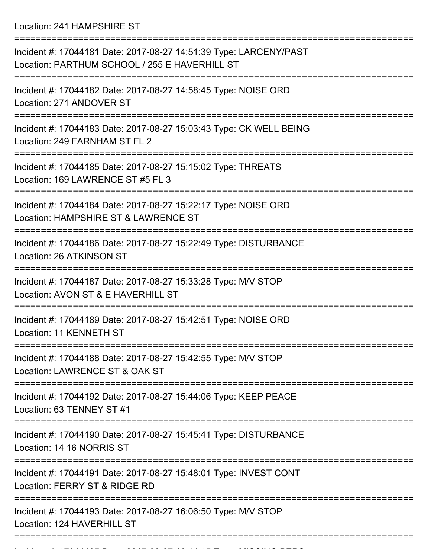Location: 241 HAMPSHIRE ST

| Incident #: 17044181 Date: 2017-08-27 14:51:39 Type: LARCENY/PAST<br>Location: PARTHUM SCHOOL / 255 E HAVERHILL ST |
|--------------------------------------------------------------------------------------------------------------------|
| Incident #: 17044182 Date: 2017-08-27 14:58:45 Type: NOISE ORD<br>Location: 271 ANDOVER ST                         |
| Incident #: 17044183 Date: 2017-08-27 15:03:43 Type: CK WELL BEING<br>Location: 249 FARNHAM ST FL 2                |
| Incident #: 17044185 Date: 2017-08-27 15:15:02 Type: THREATS<br>Location: 169 LAWRENCE ST #5 FL 3                  |
| Incident #: 17044184 Date: 2017-08-27 15:22:17 Type: NOISE ORD<br>Location: HAMPSHIRE ST & LAWRENCE ST             |
| Incident #: 17044186 Date: 2017-08-27 15:22:49 Type: DISTURBANCE<br>Location: 26 ATKINSON ST                       |
| Incident #: 17044187 Date: 2017-08-27 15:33:28 Type: M/V STOP<br>Location: AVON ST & E HAVERHILL ST                |
| Incident #: 17044189 Date: 2017-08-27 15:42:51 Type: NOISE ORD<br>Location: 11 KENNETH ST                          |
| Incident #: 17044188 Date: 2017-08-27 15:42:55 Type: M/V STOP<br>Location: LAWRENCE ST & OAK ST                    |
| Incident #: 17044192 Date: 2017-08-27 15:44:06 Type: KEEP PEACE<br>Location: 63 TENNEY ST #1                       |
| Incident #: 17044190 Date: 2017-08-27 15:45:41 Type: DISTURBANCE<br>Location: 14 16 NORRIS ST                      |
| Incident #: 17044191 Date: 2017-08-27 15:48:01 Type: INVEST CONT<br>Location: FERRY ST & RIDGE RD                  |
| Incident #: 17044193 Date: 2017-08-27 16:06:50 Type: M/V STOP<br>Location: 124 HAVERHILL ST                        |
|                                                                                                                    |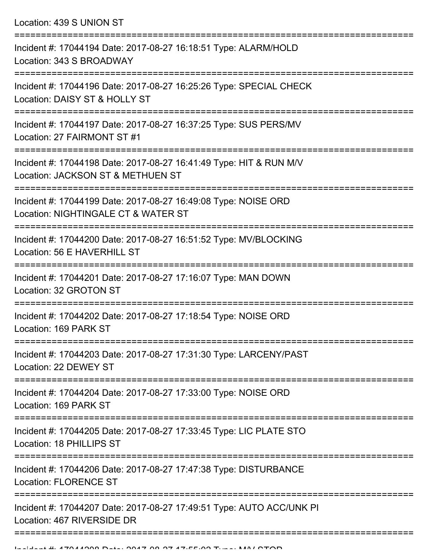Location: 439 S UNION ST

| Incident #: 17044194 Date: 2017-08-27 16:18:51 Type: ALARM/HOLD<br>Location: 343 S BROADWAY             |
|---------------------------------------------------------------------------------------------------------|
| Incident #: 17044196 Date: 2017-08-27 16:25:26 Type: SPECIAL CHECK<br>Location: DAISY ST & HOLLY ST     |
| Incident #: 17044197 Date: 2017-08-27 16:37:25 Type: SUS PERS/MV<br>Location: 27 FAIRMONT ST #1         |
| Incident #: 17044198 Date: 2017-08-27 16:41:49 Type: HIT & RUN M/V<br>Location: JACKSON ST & METHUEN ST |
| Incident #: 17044199 Date: 2017-08-27 16:49:08 Type: NOISE ORD<br>Location: NIGHTINGALE CT & WATER ST   |
| Incident #: 17044200 Date: 2017-08-27 16:51:52 Type: MV/BLOCKING<br>Location: 56 E HAVERHILL ST         |
| Incident #: 17044201 Date: 2017-08-27 17:16:07 Type: MAN DOWN<br>Location: 32 GROTON ST                 |
| Incident #: 17044202 Date: 2017-08-27 17:18:54 Type: NOISE ORD<br>Location: 169 PARK ST                 |
| Incident #: 17044203 Date: 2017-08-27 17:31:30 Type: LARCENY/PAST<br>Location: 22 DEWEY ST              |
| Incident #: 17044204 Date: 2017-08-27 17:33:00 Type: NOISE ORD<br>Location: 169 PARK ST                 |
| Incident #: 17044205 Date: 2017-08-27 17:33:45 Type: LIC PLATE STO<br>Location: 18 PHILLIPS ST          |
| Incident #: 17044206 Date: 2017-08-27 17:47:38 Type: DISTURBANCE<br><b>Location: FLORENCE ST</b>        |
| Incident #: 17044207 Date: 2017-08-27 17:49:51 Type: AUTO ACC/UNK PI<br>Location: 467 RIVERSIDE DR      |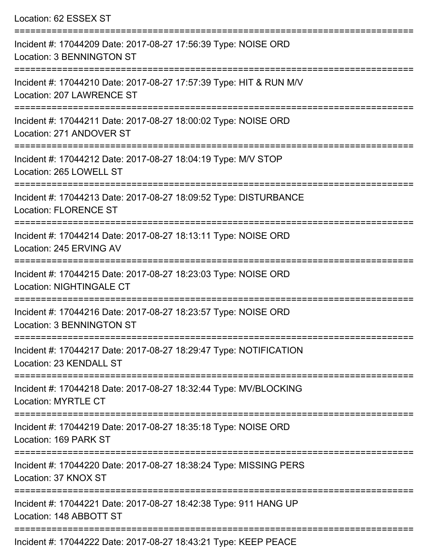| Location: 62 ESSEX ST                                                                                                                                    |
|----------------------------------------------------------------------------------------------------------------------------------------------------------|
| Incident #: 17044209 Date: 2017-08-27 17:56:39 Type: NOISE ORD<br><b>Location: 3 BENNINGTON ST</b>                                                       |
| Incident #: 17044210 Date: 2017-08-27 17:57:39 Type: HIT & RUN M/V<br>Location: 207 LAWRENCE ST                                                          |
| Incident #: 17044211 Date: 2017-08-27 18:00:02 Type: NOISE ORD<br>Location: 271 ANDOVER ST                                                               |
| Incident #: 17044212 Date: 2017-08-27 18:04:19 Type: M/V STOP<br>Location: 265 LOWELL ST                                                                 |
| Incident #: 17044213 Date: 2017-08-27 18:09:52 Type: DISTURBANCE<br><b>Location: FLORENCE ST</b>                                                         |
| -----------------------------------<br>--------------------<br>Incident #: 17044214 Date: 2017-08-27 18:13:11 Type: NOISE ORD<br>Location: 245 ERVING AV |
| Incident #: 17044215 Date: 2017-08-27 18:23:03 Type: NOISE ORD<br><b>Location: NIGHTINGALE CT</b>                                                        |
| Incident #: 17044216 Date: 2017-08-27 18:23:57 Type: NOISE ORD<br>Location: 3 BENNINGTON ST                                                              |
| :=============================<br>Incident #: 17044217 Date: 2017-08-27 18:29:47 Type: NOTIFICATION<br>Location: 23 KENDALL ST                           |
| ------------------<br>Incident #: 17044218 Date: 2017-08-27 18:32:44 Type: MV/BLOCKING<br><b>Location: MYRTLE CT</b>                                     |
| Incident #: 17044219 Date: 2017-08-27 18:35:18 Type: NOISE ORD<br>Location: 169 PARK ST                                                                  |
| Incident #: 17044220 Date: 2017-08-27 18:38:24 Type: MISSING PERS<br>Location: 37 KNOX ST                                                                |
| Incident #: 17044221 Date: 2017-08-27 18:42:38 Type: 911 HANG UP<br>Location: 148 ABBOTT ST                                                              |
| $1000 \text{ D}_{11}$ , $0047.00.07$ $10.10.04$ T.m., $1/$ FFD DEAOF                                                                                     |

Incident #: 17044222 Date: 2017-08-27 18:43:21 Type: KEEP PEACE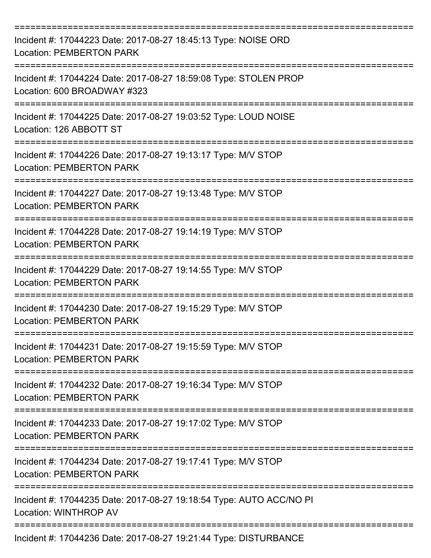| Incident #: 17044223 Date: 2017-08-27 18:45:13 Type: NOISE ORD<br><b>Location: PEMBERTON PARK</b> |
|---------------------------------------------------------------------------------------------------|
| Incident #: 17044224 Date: 2017-08-27 18:59:08 Type: STOLEN PROP<br>Location: 600 BROADWAY #323   |
| Incident #: 17044225 Date: 2017-08-27 19:03:52 Type: LOUD NOISE<br>Location: 126 ABBOTT ST        |
| Incident #: 17044226 Date: 2017-08-27 19:13:17 Type: M/V STOP<br><b>Location: PEMBERTON PARK</b>  |
| Incident #: 17044227 Date: 2017-08-27 19:13:48 Type: M/V STOP<br><b>Location: PEMBERTON PARK</b>  |
| Incident #: 17044228 Date: 2017-08-27 19:14:19 Type: M/V STOP<br><b>Location: PEMBERTON PARK</b>  |
| Incident #: 17044229 Date: 2017-08-27 19:14:55 Type: M/V STOP<br><b>Location: PEMBERTON PARK</b>  |
| Incident #: 17044230 Date: 2017-08-27 19:15:29 Type: M/V STOP<br><b>Location: PEMBERTON PARK</b>  |
| Incident #: 17044231 Date: 2017-08-27 19:15:59 Type: M/V STOP<br><b>Location: PEMBERTON PARK</b>  |
| Incident #: 17044232 Date: 2017-08-27 19:16:34 Type: M/V STOP<br><b>Location: PEMBERTON PARK</b>  |
| Incident #: 17044233 Date: 2017-08-27 19:17:02 Type: M/V STOP<br><b>Location: PEMBERTON PARK</b>  |
| Incident #: 17044234 Date: 2017-08-27 19:17:41 Type: M/V STOP<br><b>Location: PEMBERTON PARK</b>  |
| Incident #: 17044235 Date: 2017-08-27 19:18:54 Type: AUTO ACC/NO PI<br>Location: WINTHROP AV      |
| Incident #: 17044236 Date: 2017-08-27 19:21:44 Type: DISTURBANCE                                  |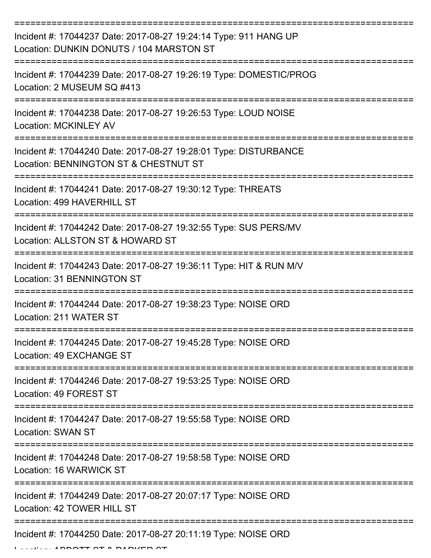| Incident #: 17044237 Date: 2017-08-27 19:24:14 Type: 911 HANG UP<br>Location: DUNKIN DONUTS / 104 MARSTON ST         |
|----------------------------------------------------------------------------------------------------------------------|
| Incident #: 17044239 Date: 2017-08-27 19:26:19 Type: DOMESTIC/PROG<br>Location: 2 MUSEUM SQ #413                     |
| Incident #: 17044238 Date: 2017-08-27 19:26:53 Type: LOUD NOISE<br><b>Location: MCKINLEY AV</b>                      |
| Incident #: 17044240 Date: 2017-08-27 19:28:01 Type: DISTURBANCE<br>Location: BENNINGTON ST & CHESTNUT ST            |
| Incident #: 17044241 Date: 2017-08-27 19:30:12 Type: THREATS<br>Location: 499 HAVERHILL ST                           |
| Incident #: 17044242 Date: 2017-08-27 19:32:55 Type: SUS PERS/MV<br>Location: ALLSTON ST & HOWARD ST                 |
| Incident #: 17044243 Date: 2017-08-27 19:36:11 Type: HIT & RUN M/V<br><b>Location: 31 BENNINGTON ST</b><br>========= |
| Incident #: 17044244 Date: 2017-08-27 19:38:23 Type: NOISE ORD<br>Location: 211 WATER ST                             |
| Incident #: 17044245 Date: 2017-08-27 19:45:28 Type: NOISE ORD<br>Location: 49 EXCHANGE ST                           |
| Incident #: 17044246 Date: 2017-08-27 19:53:25 Type: NOISE ORD<br>Location: 49 FOREST ST                             |
| Incident #: 17044247 Date: 2017-08-27 19:55:58 Type: NOISE ORD<br><b>Location: SWAN ST</b>                           |
| Incident #: 17044248 Date: 2017-08-27 19:58:58 Type: NOISE ORD<br>Location: 16 WARWICK ST                            |
| Incident #: 17044249 Date: 2017-08-27 20:07:17 Type: NOISE ORD<br>Location: 42 TOWER HILL ST                         |
| Incident #: 17044250 Date: 2017-08-27 20:11:19 Type: NOISE ORD                                                       |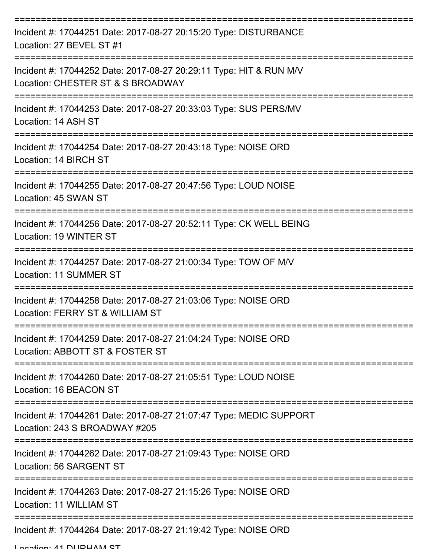| Incident #: 17044251 Date: 2017-08-27 20:15:20 Type: DISTURBANCE<br>Location: 27 BEVEL ST #1            |
|---------------------------------------------------------------------------------------------------------|
| Incident #: 17044252 Date: 2017-08-27 20:29:11 Type: HIT & RUN M/V<br>Location: CHESTER ST & S BROADWAY |
| Incident #: 17044253 Date: 2017-08-27 20:33:03 Type: SUS PERS/MV<br>Location: 14 ASH ST                 |
| Incident #: 17044254 Date: 2017-08-27 20:43:18 Type: NOISE ORD<br>Location: 14 BIRCH ST                 |
| Incident #: 17044255 Date: 2017-08-27 20:47:56 Type: LOUD NOISE<br>Location: 45 SWAN ST                 |
| Incident #: 17044256 Date: 2017-08-27 20:52:11 Type: CK WELL BEING<br>Location: 19 WINTER ST            |
| Incident #: 17044257 Date: 2017-08-27 21:00:34 Type: TOW OF M/V<br><b>Location: 11 SUMMER ST</b>        |
| Incident #: 17044258 Date: 2017-08-27 21:03:06 Type: NOISE ORD<br>Location: FERRY ST & WILLIAM ST       |
| Incident #: 17044259 Date: 2017-08-27 21:04:24 Type: NOISE ORD<br>Location: ABBOTT ST & FOSTER ST       |
| Incident #: 17044260 Date: 2017-08-27 21:05:51 Type: LOUD NOISE<br>Location: 16 BEACON ST               |
| Incident #: 17044261 Date: 2017-08-27 21:07:47 Type: MEDIC SUPPORT<br>Location: 243 S BROADWAY #205     |
| Incident #: 17044262 Date: 2017-08-27 21:09:43 Type: NOISE ORD<br>Location: 56 SARGENT ST               |
| Incident #: 17044263 Date: 2017-08-27 21:15:26 Type: NOISE ORD<br>Location: 11 WILLIAM ST               |
| ==================<br>Incident #: 17044264 Date: 2017-08-27 21:19:42 Type: NOISE ORD                    |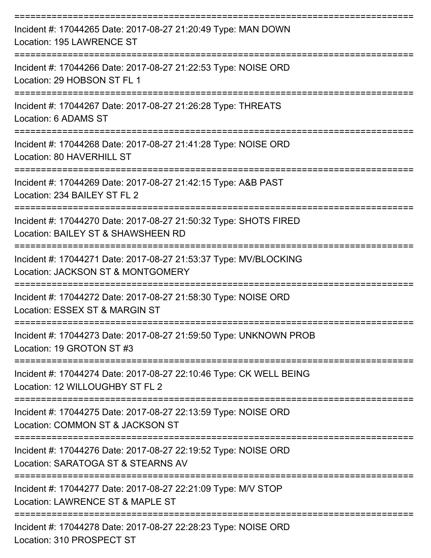| Incident #: 17044265 Date: 2017-08-27 21:20:49 Type: MAN DOWN<br>Location: 195 LAWRENCE ST<br>:================================= |
|----------------------------------------------------------------------------------------------------------------------------------|
| Incident #: 17044266 Date: 2017-08-27 21:22:53 Type: NOISE ORD<br>Location: 29 HOBSON ST FL 1                                    |
| Incident #: 17044267 Date: 2017-08-27 21:26:28 Type: THREATS<br>Location: 6 ADAMS ST                                             |
| Incident #: 17044268 Date: 2017-08-27 21:41:28 Type: NOISE ORD<br>Location: 80 HAVERHILL ST                                      |
| Incident #: 17044269 Date: 2017-08-27 21:42:15 Type: A&B PAST<br>Location: 234 BAILEY ST FL 2                                    |
| Incident #: 17044270 Date: 2017-08-27 21:50:32 Type: SHOTS FIRED<br>Location: BAILEY ST & SHAWSHEEN RD                           |
| Incident #: 17044271 Date: 2017-08-27 21:53:37 Type: MV/BLOCKING<br>Location: JACKSON ST & MONTGOMERY                            |
| Incident #: 17044272 Date: 2017-08-27 21:58:30 Type: NOISE ORD<br>Location: ESSEX ST & MARGIN ST                                 |
| Incident #: 17044273 Date: 2017-08-27 21:59:50 Type: UNKNOWN PROB<br>Location: 19 GROTON ST #3                                   |
| Incident #: 17044274 Date: 2017-08-27 22:10:46 Type: CK WELL BEING<br>Location: 12 WILLOUGHBY ST FL 2                            |
| Incident #: 17044275 Date: 2017-08-27 22:13:59 Type: NOISE ORD<br>Location: COMMON ST & JACKSON ST                               |
| Incident #: 17044276 Date: 2017-08-27 22:19:52 Type: NOISE ORD<br>Location: SARATOGA ST & STEARNS AV                             |
| Incident #: 17044277 Date: 2017-08-27 22:21:09 Type: M/V STOP<br>Location: LAWRENCE ST & MAPLE ST                                |
| Incident #: 17044278 Date: 2017-08-27 22:28:23 Type: NOISE ORD                                                                   |

Location: 310 PROSPECT ST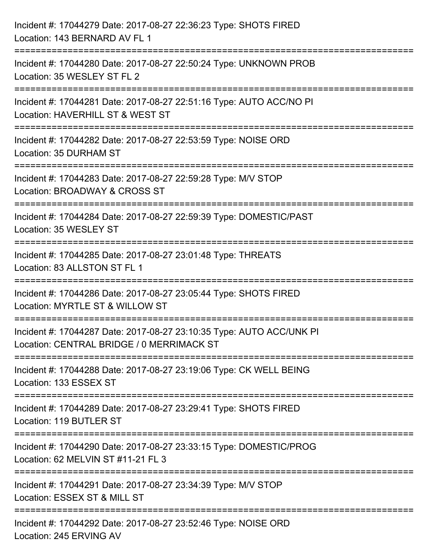| Incident #: 17044279 Date: 2017-08-27 22:36:23 Type: SHOTS FIRED<br>Location: 143 BERNARD AV FL 1                                  |
|------------------------------------------------------------------------------------------------------------------------------------|
| ==============================<br>Incident #: 17044280 Date: 2017-08-27 22:50:24 Type: UNKNOWN PROB<br>Location: 35 WESLEY ST FL 2 |
| Incident #: 17044281 Date: 2017-08-27 22:51:16 Type: AUTO ACC/NO PI<br>Location: HAVERHILL ST & WEST ST                            |
| Incident #: 17044282 Date: 2017-08-27 22:53:59 Type: NOISE ORD<br>Location: 35 DURHAM ST<br>===============================        |
| Incident #: 17044283 Date: 2017-08-27 22:59:28 Type: M/V STOP<br>Location: BROADWAY & CROSS ST                                     |
| Incident #: 17044284 Date: 2017-08-27 22:59:39 Type: DOMESTIC/PAST<br>Location: 35 WESLEY ST                                       |
| Incident #: 17044285 Date: 2017-08-27 23:01:48 Type: THREATS<br>Location: 83 ALLSTON ST FL 1                                       |
| Incident #: 17044286 Date: 2017-08-27 23:05:44 Type: SHOTS FIRED<br>Location: MYRTLE ST & WILLOW ST                                |
| Incident #: 17044287 Date: 2017-08-27 23:10:35 Type: AUTO ACC/UNK PI<br>Location: CENTRAL BRIDGE / 0 MERRIMACK ST                  |
| Incident #: 17044288 Date: 2017-08-27 23:19:06 Type: CK WELL BEING<br>Location: 133 ESSEX ST                                       |
| Incident #: 17044289 Date: 2017-08-27 23:29:41 Type: SHOTS FIRED<br>Location: 119 BUTLER ST                                        |
| Incident #: 17044290 Date: 2017-08-27 23:33:15 Type: DOMESTIC/PROG<br>Location: 62 MELVIN ST #11-21 FL 3                           |
| Incident #: 17044291 Date: 2017-08-27 23:34:39 Type: M/V STOP<br>Location: ESSEX ST & MILL ST                                      |
| Incident #: 17044292 Date: 2017-08-27 23:52:46 Type: NOISE ORD<br>Location: 245 ERVING AV                                          |